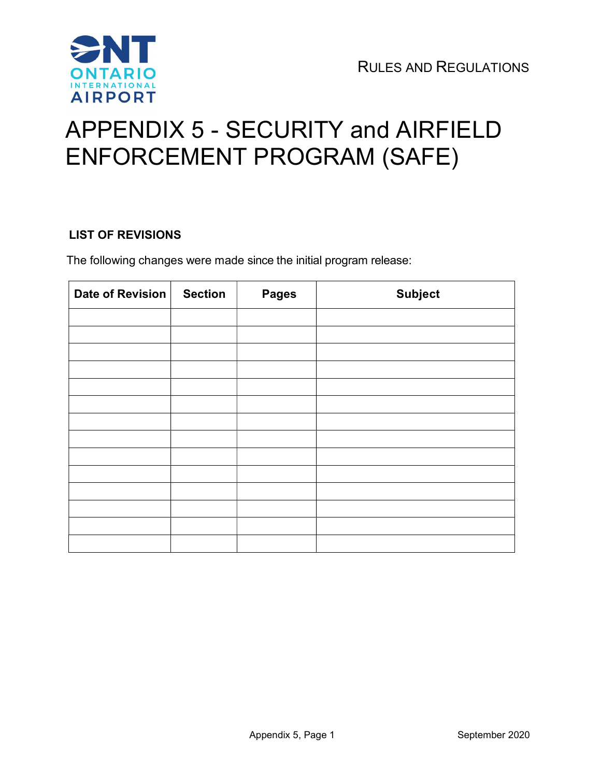

# APPENDIX 5 - SECURITY and AIRFIELD ENFORCEMENT PROGRAM (SAFE)

# LIST OF REVISIONS

The following changes were made since the initial program release:

| <b>Date of Revision</b> | <b>Section</b> | <b>Pages</b> | <b>Subject</b> |
|-------------------------|----------------|--------------|----------------|
|                         |                |              |                |
|                         |                |              |                |
|                         |                |              |                |
|                         |                |              |                |
|                         |                |              |                |
|                         |                |              |                |
|                         |                |              |                |
|                         |                |              |                |
|                         |                |              |                |
|                         |                |              |                |
|                         |                |              |                |
|                         |                |              |                |
|                         |                |              |                |
|                         |                |              |                |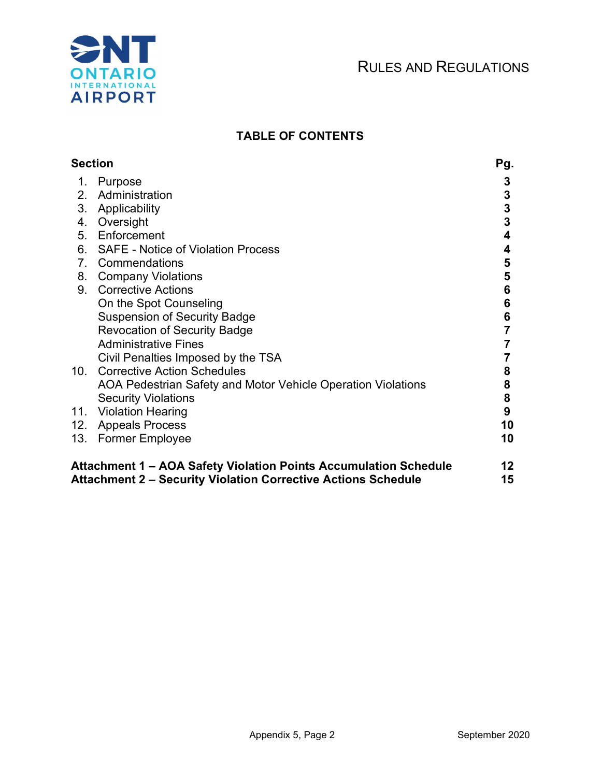

# TABLE OF CONTENTS

| <b>Section</b> |                                                                          | Pg. |
|----------------|--------------------------------------------------------------------------|-----|
| 1.             | Purpose                                                                  | 3   |
| 2.             | Administration                                                           | 3   |
| 3.             | Applicability                                                            | 3   |
| 4.             | Oversight                                                                | 3   |
| 5.             | Enforcement                                                              | 4   |
| 6.             | <b>SAFE - Notice of Violation Process</b>                                | 4   |
| 7.             | Commendations                                                            | 5   |
| 8.             | <b>Company Violations</b>                                                | 5   |
| 9.             | <b>Corrective Actions</b>                                                | 6   |
|                | On the Spot Counseling                                                   | 6   |
|                | <b>Suspension of Security Badge</b>                                      | 6   |
|                | <b>Revocation of Security Badge</b>                                      |     |
|                | <b>Administrative Fines</b>                                              |     |
| 10.            | Civil Penalties Imposed by the TSA<br><b>Corrective Action Schedules</b> | 8   |
|                | AOA Pedestrian Safety and Motor Vehicle Operation Violations             | 8   |
|                | <b>Security Violations</b>                                               | 8   |
|                | 11. Violation Hearing                                                    | 9   |
| 12.            | <b>Appeals Process</b>                                                   | 10  |
| 13.            | <b>Former Employee</b>                                                   | 10  |
|                | Attachment 1 – AOA Safety Violation Points Accumulation Schedule         | 12  |
|                | <b>Attachment 2 - Security Violation Corrective Actions Schedule</b>     | 15  |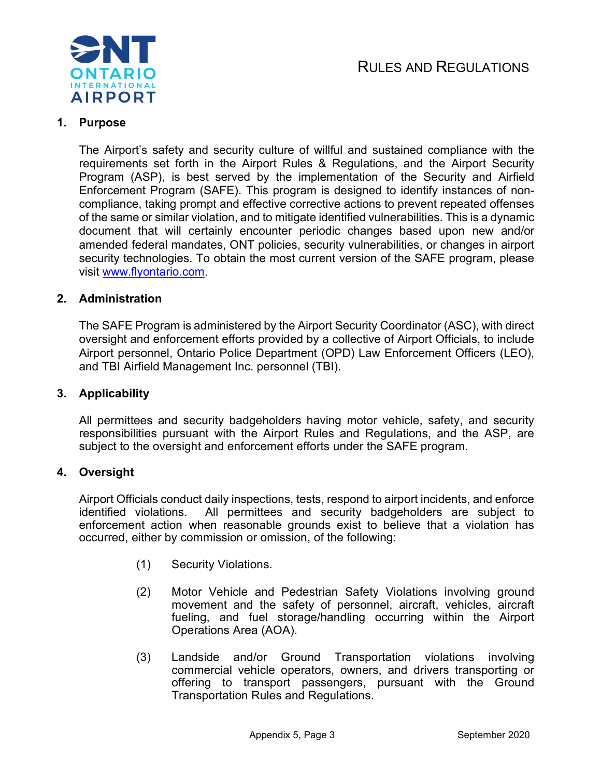

# 1. Purpose

The Airport's safety and security culture of willful and sustained compliance with the requirements set forth in the Airport Rules & Regulations, and the Airport Security Program (ASP), is best served by the implementation of the Security and Airfield Enforcement Program (SAFE). This program is designed to identify instances of noncompliance, taking prompt and effective corrective actions to prevent repeated offenses of the same or similar violation, and to mitigate identified vulnerabilities. This is a dynamic document that will certainly encounter periodic changes based upon new and/or amended federal mandates, ONT policies, security vulnerabilities, or changes in airport security technologies. To obtain the most current version of the SAFE program, please visit www.flyontario.com.

# 2. Administration

The SAFE Program is administered by the Airport Security Coordinator (ASC), with direct oversight and enforcement efforts provided by a collective of Airport Officials, to include Airport personnel, Ontario Police Department (OPD) Law Enforcement Officers (LEO), and TBI Airfield Management Inc. personnel (TBI).

#### 3. Applicability

All permittees and security badgeholders having motor vehicle, safety, and security responsibilities pursuant with the Airport Rules and Regulations, and the ASP, are subject to the oversight and enforcement efforts under the SAFE program.

#### 4. Oversight

Airport Officials conduct daily inspections, tests, respond to airport incidents, and enforce identified violations. All permittees and security badgeholders are subject to enforcement action when reasonable grounds exist to believe that a violation has occurred, either by commission or omission, of the following:

- (1) Security Violations.
- (2) Motor Vehicle and Pedestrian Safety Violations involving ground movement and the safety of personnel, aircraft, vehicles, aircraft fueling, and fuel storage/handling occurring within the Airport Operations Area (AOA).
- (3) Landside and/or Ground Transportation violations involving commercial vehicle operators, owners, and drivers transporting or offering to transport passengers, pursuant with the Ground Transportation Rules and Regulations.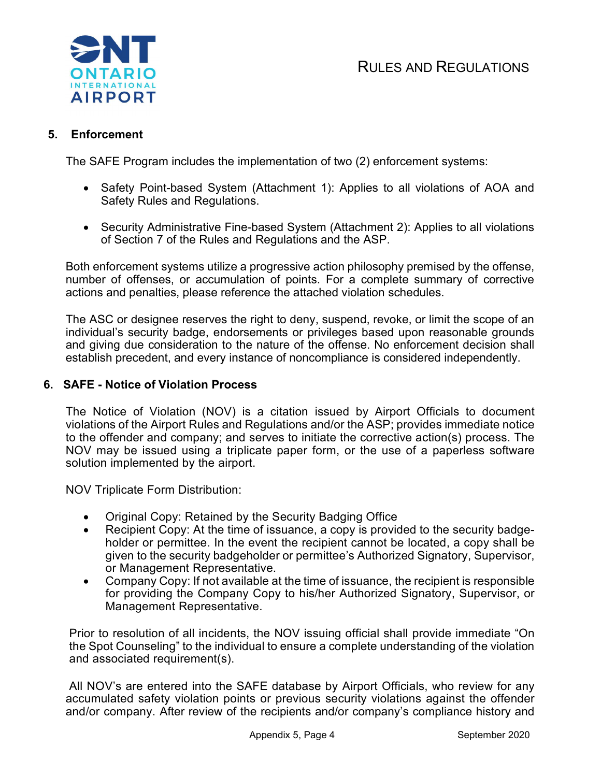



# 5. Enforcement

The SAFE Program includes the implementation of two (2) enforcement systems:

- Safety Point-based System (Attachment 1): Applies to all violations of AOA and Safety Rules and Regulations.
- Security Administrative Fine-based System (Attachment 2): Applies to all violations of Section 7 of the Rules and Regulations and the ASP.

Both enforcement systems utilize a progressive action philosophy premised by the offense, number of offenses, or accumulation of points. For a complete summary of corrective actions and penalties, please reference the attached violation schedules.

The ASC or designee reserves the right to deny, suspend, revoke, or limit the scope of an individual's security badge, endorsements or privileges based upon reasonable grounds and giving due consideration to the nature of the offense. No enforcement decision shall establish precedent, and every instance of noncompliance is considered independently.

# 6. SAFE - Notice of Violation Process

The Notice of Violation (NOV) is a citation issued by Airport Officials to document violations of the Airport Rules and Regulations and/or the ASP; provides immediate notice to the offender and company; and serves to initiate the corrective action(s) process. The NOV may be issued using a triplicate paper form, or the use of a paperless software solution implemented by the airport.

NOV Triplicate Form Distribution:

- Original Copy: Retained by the Security Badging Office
- Recipient Copy: At the time of issuance, a copy is provided to the security badgeholder or permittee. In the event the recipient cannot be located, a copy shall be given to the security badgeholder or permittee's Authorized Signatory, Supervisor, or Management Representative.
- Company Copy: If not available at the time of issuance, the recipient is responsible for providing the Company Copy to his/her Authorized Signatory, Supervisor, or Management Representative.

Prior to resolution of all incidents, the NOV issuing official shall provide immediate "On the Spot Counseling" to the individual to ensure a complete understanding of the violation and associated requirement(s).

All NOV's are entered into the SAFE database by Airport Officials, who review for any accumulated safety violation points or previous security violations against the offender and/or company. After review of the recipients and/or company's compliance history and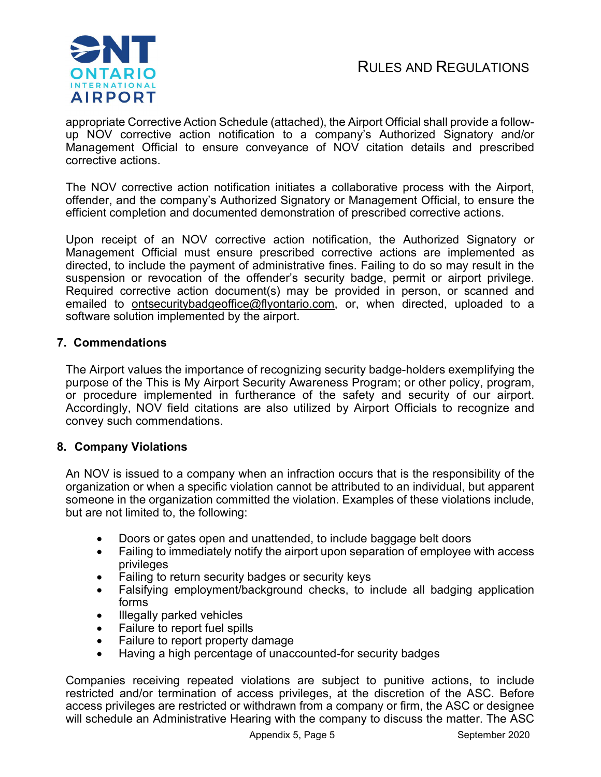

appropriate Corrective Action Schedule (attached), the Airport Official shall provide a followup NOV corrective action notification to a company's Authorized Signatory and/or Management Official to ensure conveyance of NOV citation details and prescribed corrective actions.

The NOV corrective action notification initiates a collaborative process with the Airport, offender, and the company's Authorized Signatory or Management Official, to ensure the efficient completion and documented demonstration of prescribed corrective actions.

Upon receipt of an NOV corrective action notification, the Authorized Signatory or Management Official must ensure prescribed corrective actions are implemented as directed, to include the payment of administrative fines. Failing to do so may result in the suspension or revocation of the offender's security badge, permit or airport privilege. Required corrective action document(s) may be provided in person, or scanned and emailed to ontsecuritybadgeoffice@flyontario.com, or, when directed, uploaded to a software solution implemented by the airport.

# 7. Commendations

The Airport values the importance of recognizing security badge-holders exemplifying the purpose of the This is My Airport Security Awareness Program; or other policy, program, or procedure implemented in furtherance of the safety and security of our airport. Accordingly, NOV field citations are also utilized by Airport Officials to recognize and convey such commendations.

# 8. Company Violations

An NOV is issued to a company when an infraction occurs that is the responsibility of the organization or when a specific violation cannot be attributed to an individual, but apparent someone in the organization committed the violation. Examples of these violations include, but are not limited to, the following:

- Doors or gates open and unattended, to include baggage belt doors
- Failing to immediately notify the airport upon separation of employee with access privileges
- Failing to return security badges or security keys
- Falsifying employment/background checks, to include all badging application forms
- Illegally parked vehicles
- Failure to report fuel spills
- Failure to report property damage
- Having a high percentage of unaccounted-for security badges

Companies receiving repeated violations are subject to punitive actions, to include restricted and/or termination of access privileges, at the discretion of the ASC. Before access privileges are restricted or withdrawn from a company or firm, the ASC or designee will schedule an Administrative Hearing with the company to discuss the matter. The ASC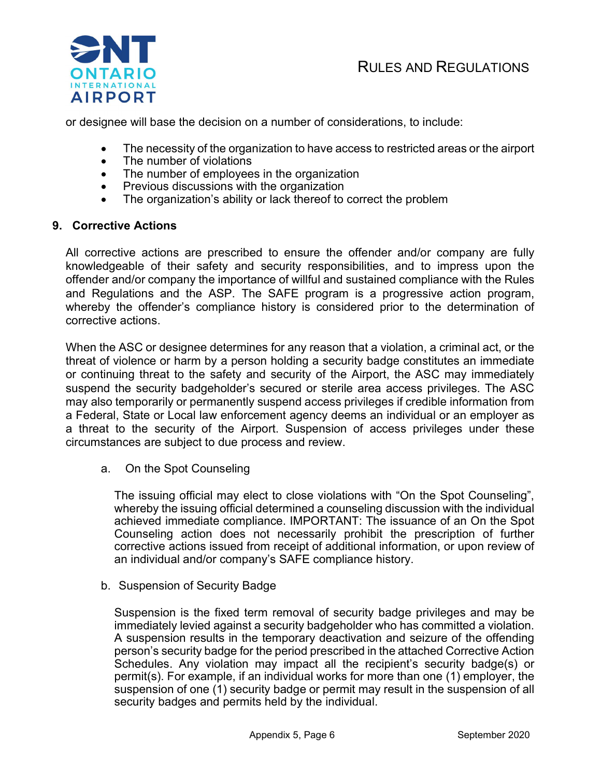

or designee will base the decision on a number of considerations, to include:

- The necessity of the organization to have access to restricted areas or the airport
- The number of violations
- The number of employees in the organization
- Previous discussions with the organization
- The organization's ability or lack thereof to correct the problem

# 9. Corrective Actions

All corrective actions are prescribed to ensure the offender and/or company are fully knowledgeable of their safety and security responsibilities, and to impress upon the offender and/or company the importance of willful and sustained compliance with the Rules and Regulations and the ASP. The SAFE program is a progressive action program, whereby the offender's compliance history is considered prior to the determination of corrective actions.

When the ASC or designee determines for any reason that a violation, a criminal act, or the threat of violence or harm by a person holding a security badge constitutes an immediate or continuing threat to the safety and security of the Airport, the ASC may immediately suspend the security badgeholder's secured or sterile area access privileges. The ASC may also temporarily or permanently suspend access privileges if credible information from a Federal, State or Local law enforcement agency deems an individual or an employer as a threat to the security of the Airport. Suspension of access privileges under these circumstances are subject to due process and review.

a. On the Spot Counseling

The issuing official may elect to close violations with "On the Spot Counseling", whereby the issuing official determined a counseling discussion with the individual achieved immediate compliance. IMPORTANT: The issuance of an On the Spot Counseling action does not necessarily prohibit the prescription of further corrective actions issued from receipt of additional information, or upon review of an individual and/or company's SAFE compliance history.

b. Suspension of Security Badge

Suspension is the fixed term removal of security badge privileges and may be immediately levied against a security badgeholder who has committed a violation. A suspension results in the temporary deactivation and seizure of the offending person's security badge for the period prescribed in the attached Corrective Action Schedules. Any violation may impact all the recipient's security badge(s) or permit(s). For example, if an individual works for more than one (1) employer, the suspension of one (1) security badge or permit may result in the suspension of all security badges and permits held by the individual.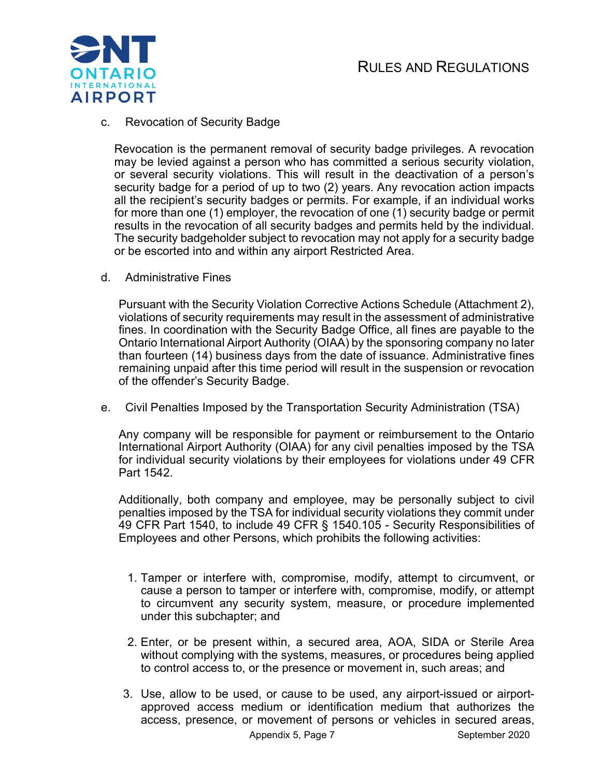

c. Revocation of Security Badge

Revocation is the permanent removal of security badge privileges. A revocation may be levied against a person who has committed a serious security violation, or several security violations. This will result in the deactivation of a person's security badge for a period of up to two (2) years. Any revocation action impacts all the recipient's security badges or permits. For example, if an individual works for more than one (1) employer, the revocation of one (1) security badge or permit results in the revocation of all security badges and permits held by the individual. The security badgeholder subject to revocation may not apply for a security badge or be escorted into and within any airport Restricted Area.

d. Administrative Fines

Pursuant with the Security Violation Corrective Actions Schedule (Attachment 2), violations of security requirements may result in the assessment of administrative fines. In coordination with the Security Badge Office, all fines are payable to the Ontario International Airport Authority (OIAA) by the sponsoring company no later than fourteen (14) business days from the date of issuance. Administrative fines remaining unpaid after this time period will result in the suspension or revocation of the offender's Security Badge.

e. Civil Penalties Imposed by the Transportation Security Administration (TSA)

Any company will be responsible for payment or reimbursement to the Ontario International Airport Authority (OIAA) for any civil penalties imposed by the TSA for individual security violations by their employees for violations under 49 CFR Part 1542.

Additionally, both company and employee, may be personally subject to civil penalties imposed by the TSA for individual security violations they commit under 49 CFR Part 1540, to include 49 CFR § 1540.105 - Security Responsibilities of Employees and other Persons, which prohibits the following activities:

- 1. Tamper or interfere with, compromise, modify, attempt to circumvent, or cause a person to tamper or interfere with, compromise, modify, or attempt to circumvent any security system, measure, or procedure implemented under this subchapter; and
- 2. Enter, or be present within, a secured area, AOA, SIDA or Sterile Area without complying with the systems, measures, or procedures being applied to control access to, or the presence or movement in, such areas; and
- 3. Use, allow to be used, or cause to be used, any airport-issued or airportapproved access medium or identification medium that authorizes the access, presence, or movement of persons or vehicles in secured areas,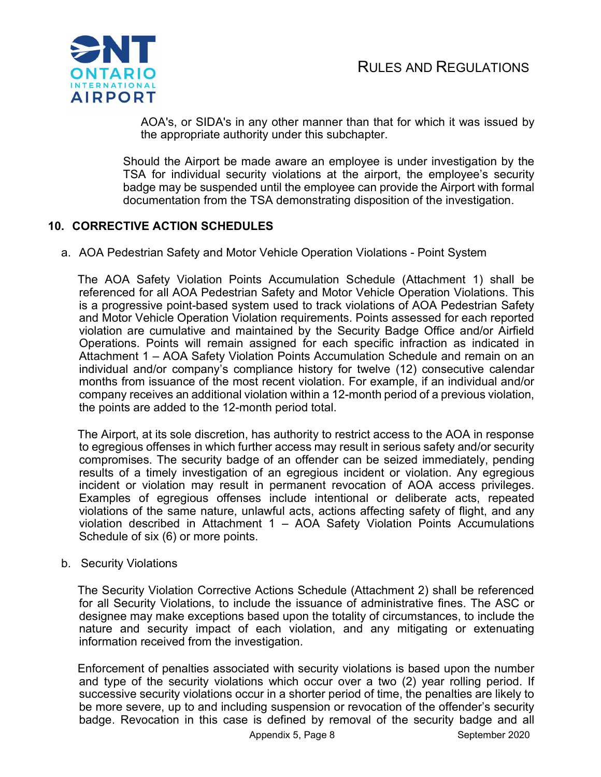

AOA's, or SIDA's in any other manner than that for which it was issued by the appropriate authority under this subchapter.

Should the Airport be made aware an employee is under investigation by the TSA for individual security violations at the airport, the employee's security badge may be suspended until the employee can provide the Airport with formal documentation from the TSA demonstrating disposition of the investigation.

# 10. CORRECTIVE ACTION SCHEDULES

a. AOA Pedestrian Safety and Motor Vehicle Operation Violations - Point System

 The AOA Safety Violation Points Accumulation Schedule (Attachment 1) shall be referenced for all AOA Pedestrian Safety and Motor Vehicle Operation Violations. This is a progressive point-based system used to track violations of AOA Pedestrian Safety and Motor Vehicle Operation Violation requirements. Points assessed for each reported violation are cumulative and maintained by the Security Badge Office and/or Airfield Operations. Points will remain assigned for each specific infraction as indicated in Attachment 1 – AOA Safety Violation Points Accumulation Schedule and remain on an individual and/or company's compliance history for twelve (12) consecutive calendar months from issuance of the most recent violation. For example, if an individual and/or company receives an additional violation within a 12-month period of a previous violation, the points are added to the 12-month period total.

 The Airport, at its sole discretion, has authority to restrict access to the AOA in response to egregious offenses in which further access may result in serious safety and/or security compromises. The security badge of an offender can be seized immediately, pending results of a timely investigation of an egregious incident or violation. Any egregious incident or violation may result in permanent revocation of AOA access privileges. Examples of egregious offenses include intentional or deliberate acts, repeated violations of the same nature, unlawful acts, actions affecting safety of flight, and any violation described in Attachment 1 – AOA Safety Violation Points Accumulations Schedule of six (6) or more points.

#### b. Security Violations

 The Security Violation Corrective Actions Schedule (Attachment 2) shall be referenced for all Security Violations, to include the issuance of administrative fines. The ASC or designee may make exceptions based upon the totality of circumstances, to include the nature and security impact of each violation, and any mitigating or extenuating information received from the investigation.

 Enforcement of penalties associated with security violations is based upon the number and type of the security violations which occur over a two (2) year rolling period. If successive security violations occur in a shorter period of time, the penalties are likely to be more severe, up to and including suspension or revocation of the offender's security badge. Revocation in this case is defined by removal of the security badge and all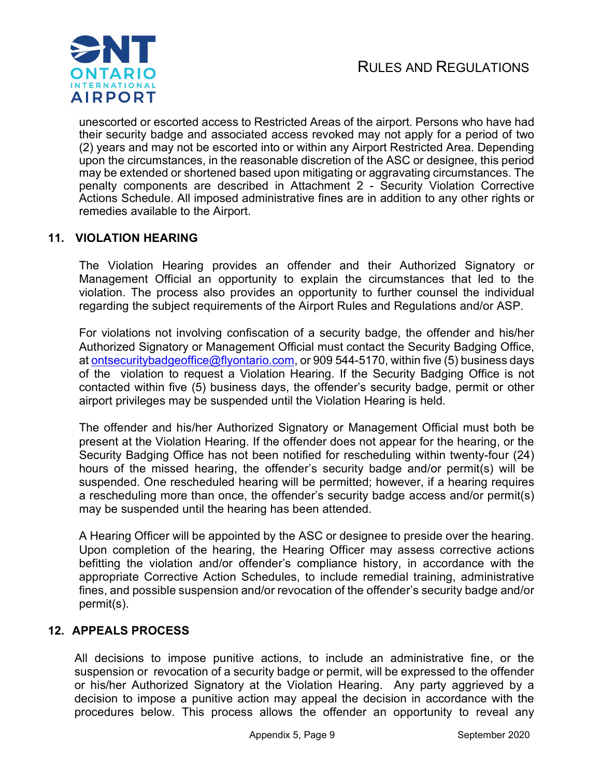

unescorted or escorted access to Restricted Areas of the airport. Persons who have had their security badge and associated access revoked may not apply for a period of two (2) years and may not be escorted into or within any Airport Restricted Area. Depending upon the circumstances, in the reasonable discretion of the ASC or designee, this period may be extended or shortened based upon mitigating or aggravating circumstances. The penalty components are described in Attachment 2 - Security Violation Corrective Actions Schedule. All imposed administrative fines are in addition to any other rights or remedies available to the Airport.

# 11. VIOLATION HEARING

The Violation Hearing provides an offender and their Authorized Signatory or Management Official an opportunity to explain the circumstances that led to the violation. The process also provides an opportunity to further counsel the individual regarding the subject requirements of the Airport Rules and Regulations and/or ASP.

For violations not involving confiscation of a security badge, the offender and his/her Authorized Signatory or Management Official must contact the Security Badging Office, at ontsecuritybadgeoffice@flyontario.com, or 909 544-5170, within five (5) business days of the violation to request a Violation Hearing. If the Security Badging Office is not contacted within five (5) business days, the offender's security badge, permit or other airport privileges may be suspended until the Violation Hearing is held.

The offender and his/her Authorized Signatory or Management Official must both be present at the Violation Hearing. If the offender does not appear for the hearing, or the Security Badging Office has not been notified for rescheduling within twenty-four (24) hours of the missed hearing, the offender's security badge and/or permit(s) will be suspended. One rescheduled hearing will be permitted; however, if a hearing requires a rescheduling more than once, the offender's security badge access and/or permit(s) may be suspended until the hearing has been attended.

A Hearing Officer will be appointed by the ASC or designee to preside over the hearing. Upon completion of the hearing, the Hearing Officer may assess corrective actions befitting the violation and/or offender's compliance history, in accordance with the appropriate Corrective Action Schedules, to include remedial training, administrative fines, and possible suspension and/or revocation of the offender's security badge and/or permit(s).

# 12. APPEALS PROCESS

All decisions to impose punitive actions, to include an administrative fine, or the suspension or revocation of a security badge or permit, will be expressed to the offender or his/her Authorized Signatory at the Violation Hearing. Any party aggrieved by a decision to impose a punitive action may appeal the decision in accordance with the procedures below. This process allows the offender an opportunity to reveal any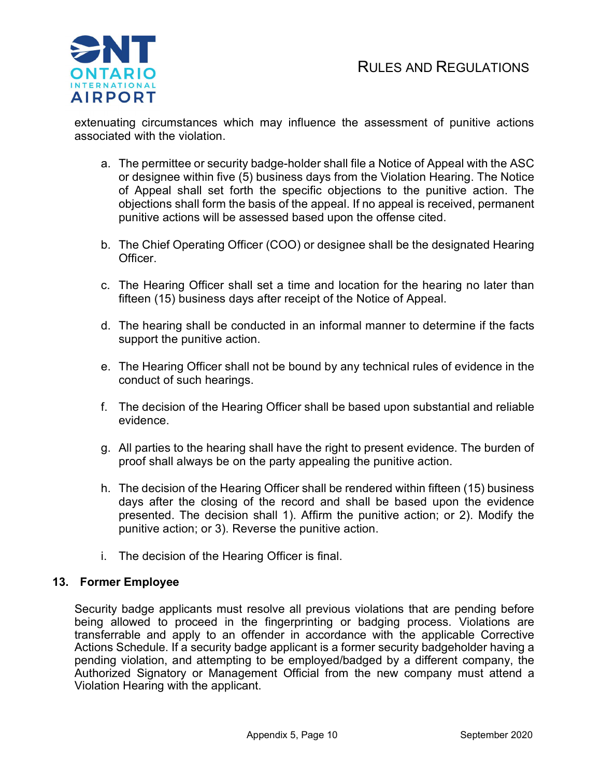

extenuating circumstances which may influence the assessment of punitive actions associated with the violation.

- a. The permittee or security badge-holder shall file a Notice of Appeal with the ASC or designee within five (5) business days from the Violation Hearing. The Notice of Appeal shall set forth the specific objections to the punitive action. The objections shall form the basis of the appeal. If no appeal is received, permanent punitive actions will be assessed based upon the offense cited.
- b. The Chief Operating Officer (COO) or designee shall be the designated Hearing Officer.
- c. The Hearing Officer shall set a time and location for the hearing no later than fifteen (15) business days after receipt of the Notice of Appeal.
- d. The hearing shall be conducted in an informal manner to determine if the facts support the punitive action.
- e. The Hearing Officer shall not be bound by any technical rules of evidence in the conduct of such hearings.
- f. The decision of the Hearing Officer shall be based upon substantial and reliable evidence.
- g. All parties to the hearing shall have the right to present evidence. The burden of proof shall always be on the party appealing the punitive action.
- h. The decision of the Hearing Officer shall be rendered within fifteen (15) business days after the closing of the record and shall be based upon the evidence presented. The decision shall 1). Affirm the punitive action; or 2). Modify the punitive action; or 3). Reverse the punitive action.
- i. The decision of the Hearing Officer is final.

# 13. Former Employee

Security badge applicants must resolve all previous violations that are pending before being allowed to proceed in the fingerprinting or badging process. Violations are transferrable and apply to an offender in accordance with the applicable Corrective Actions Schedule. If a security badge applicant is a former security badgeholder having a pending violation, and attempting to be employed/badged by a different company, the Authorized Signatory or Management Official from the new company must attend a Violation Hearing with the applicant.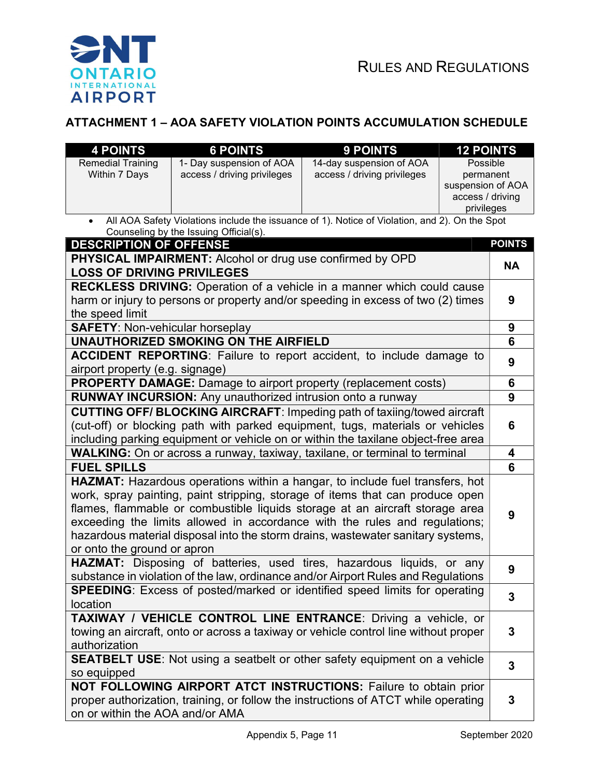

# ATTACHMENT 1 – AOA SAFETY VIOLATION POINTS ACCUMULATION SCHEDULE

| <b>4 POINTS</b>                                                                                                                                            | <b>6 POINTS</b>                                           | 9 POINTS                                                                            | <b>12 POINTS</b>  |               |
|------------------------------------------------------------------------------------------------------------------------------------------------------------|-----------------------------------------------------------|-------------------------------------------------------------------------------------|-------------------|---------------|
| <b>Remedial Training</b>                                                                                                                                   | 1- Day suspension of AOA                                  | 14-day suspension of AOA                                                            | Possible          |               |
| Within 7 Days                                                                                                                                              | access / driving privileges                               | access / driving privileges                                                         | permanent         |               |
|                                                                                                                                                            |                                                           |                                                                                     | suspension of AOA |               |
|                                                                                                                                                            |                                                           |                                                                                     | access / driving  |               |
| privileges<br>All AOA Safety Violations include the issuance of 1). Notice of Violation, and 2). On the Spot                                               |                                                           |                                                                                     |                   |               |
|                                                                                                                                                            | Counseling by the Issuing Official(s).                    |                                                                                     |                   |               |
| <b>DESCRIPTION OF OFFENSE</b>                                                                                                                              |                                                           |                                                                                     |                   | <b>POINTS</b> |
|                                                                                                                                                            | PHYSICAL IMPAIRMENT: Alcohol or drug use confirmed by OPD |                                                                                     |                   |               |
| <b>LOSS OF DRIVING PRIVILEGES</b>                                                                                                                          |                                                           |                                                                                     |                   | <b>NA</b>     |
| <b>RECKLESS DRIVING:</b> Operation of a vehicle in a manner which could cause                                                                              |                                                           |                                                                                     |                   |               |
|                                                                                                                                                            |                                                           | harm or injury to persons or property and/or speeding in excess of two (2) times    |                   | 9             |
| the speed limit                                                                                                                                            |                                                           |                                                                                     |                   |               |
| <b>SAFETY: Non-vehicular horseplay</b>                                                                                                                     |                                                           |                                                                                     |                   | 9             |
|                                                                                                                                                            | <b>UNAUTHORIZED SMOKING ON THE AIRFIELD</b>               |                                                                                     |                   | 6             |
|                                                                                                                                                            |                                                           | <b>ACCIDENT REPORTING:</b> Failure to report accident, to include damage to         |                   | 9             |
| airport property (e.g. signage)                                                                                                                            |                                                           |                                                                                     |                   |               |
| PROPERTY DAMAGE: Damage to airport property (replacement costs)                                                                                            |                                                           |                                                                                     |                   | 6             |
| <b>RUNWAY INCURSION:</b> Any unauthorized intrusion onto a runway                                                                                          |                                                           |                                                                                     |                   | 9             |
|                                                                                                                                                            |                                                           | CUTTING OFF/ BLOCKING AIRCRAFT: Impeding path of taxiing/towed aircraft             |                   |               |
|                                                                                                                                                            |                                                           | (cut-off) or blocking path with parked equipment, tugs, materials or vehicles       |                   | 6             |
| including parking equipment or vehicle on or within the taxilane object-free area                                                                          |                                                           |                                                                                     |                   |               |
| <b>WALKING:</b> On or across a runway, taxiway, taxilane, or terminal to terminal                                                                          |                                                           |                                                                                     |                   | 4             |
| <b>FUEL SPILLS</b>                                                                                                                                         |                                                           |                                                                                     |                   | 6             |
|                                                                                                                                                            |                                                           | <b>HAZMAT:</b> Hazardous operations within a hangar, to include fuel transfers, hot |                   |               |
|                                                                                                                                                            |                                                           | work, spray painting, paint stripping, storage of items that can produce open       |                   |               |
|                                                                                                                                                            |                                                           |                                                                                     |                   |               |
| flames, flammable or combustible liquids storage at an aircraft storage area<br>exceeding the limits allowed in accordance with the rules and regulations; |                                                           |                                                                                     |                   | 9             |
| hazardous material disposal into the storm drains, wastewater sanitary systems,                                                                            |                                                           |                                                                                     |                   |               |
| or onto the ground or apron                                                                                                                                |                                                           |                                                                                     |                   |               |
| <b>HAZMAT:</b> Disposing of batteries, used tires, hazardous liquids, or any                                                                               |                                                           |                                                                                     |                   | 9             |
| substance in violation of the law, ordinance and/or Airport Rules and Regulations                                                                          |                                                           |                                                                                     |                   |               |
| <b>SPEEDING:</b> Excess of posted/marked or identified speed limits for operating                                                                          |                                                           |                                                                                     |                   | 3             |
| location                                                                                                                                                   |                                                           |                                                                                     |                   |               |
| TAXIWAY / VEHICLE CONTROL LINE ENTRANCE: Driving a vehicle, or                                                                                             |                                                           |                                                                                     |                   |               |
| towing an aircraft, onto or across a taxiway or vehicle control line without proper                                                                        |                                                           |                                                                                     | 3                 |               |
| authorization                                                                                                                                              |                                                           |                                                                                     |                   |               |
| <b>SEATBELT USE:</b> Not using a seatbelt or other safety equipment on a vehicle                                                                           |                                                           |                                                                                     |                   | 3             |
| so equipped                                                                                                                                                |                                                           |                                                                                     |                   |               |
| NOT FOLLOWING AIRPORT ATCT INSTRUCTIONS: Failure to obtain prior                                                                                           |                                                           |                                                                                     |                   |               |
| proper authorization, training, or follow the instructions of ATCT while operating                                                                         |                                                           |                                                                                     |                   | 3             |
| on or within the AOA and/or AMA                                                                                                                            |                                                           |                                                                                     |                   |               |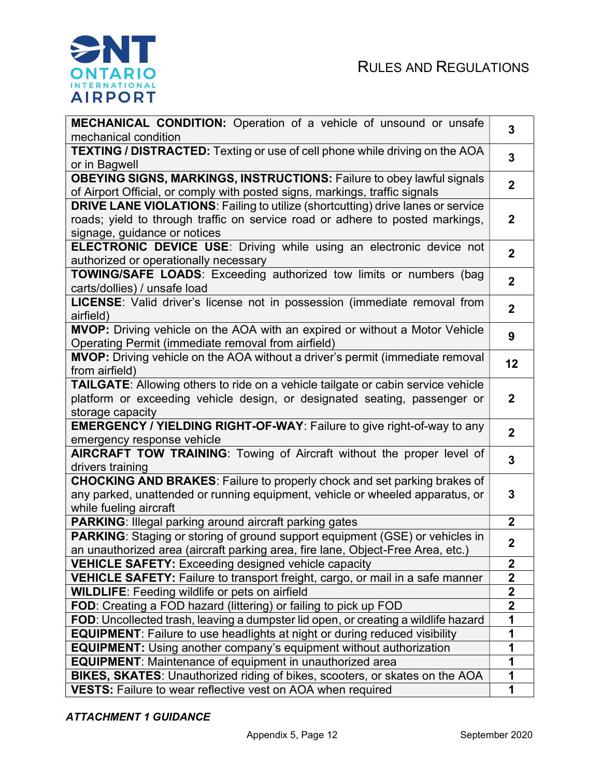

| MECHANICAL CONDITION: Operation of a vehicle of unsound or unsafe<br>mechanical condition                     | $\overline{3}$          |  |
|---------------------------------------------------------------------------------------------------------------|-------------------------|--|
|                                                                                                               |                         |  |
| <b>TEXTING / DISTRACTED:</b> Texting or use of cell phone while driving on the AOA<br>or in Bagwell           | $\overline{3}$          |  |
| <b>OBEYING SIGNS, MARKINGS, INSTRUCTIONS: Failure to obey lawful signals</b>                                  |                         |  |
| of Airport Official, or comply with posted signs, markings, traffic signals                                   | $\overline{2}$          |  |
| <b>DRIVE LANE VIOLATIONS: Failing to utilize (shortcutting) drive lanes or service</b>                        |                         |  |
| roads; yield to through traffic on service road or adhere to posted markings,<br>signage, guidance or notices | $\mathbf{2}$            |  |
| ELECTRONIC DEVICE USE: Driving while using an electronic device not                                           |                         |  |
| authorized or operationally necessary                                                                         | $\overline{2}$          |  |
| TOWING/SAFE LOADS: Exceeding authorized tow limits or numbers (bag                                            | $\overline{2}$          |  |
| carts/dollies) / unsafe load                                                                                  |                         |  |
| LICENSE: Valid driver's license not in possession (immediate removal from                                     |                         |  |
| airfield)                                                                                                     | $\overline{2}$          |  |
| MVOP: Driving vehicle on the AOA with an expired or without a Motor Vehicle                                   | 9                       |  |
| Operating Permit (immediate removal from airfield)                                                            |                         |  |
| MVOP: Driving vehicle on the AOA without a driver's permit (immediate removal                                 | 12                      |  |
| from airfield)                                                                                                |                         |  |
| TAILGATE: Allowing others to ride on a vehicle tailgate or cabin service vehicle                              |                         |  |
| platform or exceeding vehicle design, or designated seating, passenger or                                     | $\mathbf 2$             |  |
| storage capacity                                                                                              |                         |  |
| <b>EMERGENCY / YIELDING RIGHT-OF-WAY: Failure to give right-of-way to any</b>                                 | $\overline{2}$          |  |
| emergency response vehicle                                                                                    |                         |  |
| AIRCRAFT TOW TRAINING: Towing of Aircraft without the proper level of                                         | 3                       |  |
| drivers training                                                                                              |                         |  |
| <b>CHOCKING AND BRAKES:</b> Failure to properly chock and set parking brakes of                               |                         |  |
| any parked, unattended or running equipment, vehicle or wheeled apparatus, or                                 | 3                       |  |
| while fueling aircraft                                                                                        |                         |  |
| <b>PARKING: Illegal parking around aircraft parking gates</b>                                                 | $\mathbf{2}$            |  |
| <b>PARKING:</b> Staging or storing of ground support equipment (GSE) or vehicles in                           |                         |  |
| an unauthorized area (aircraft parking area, fire lane, Object-Free Area, etc.)                               | $\overline{\mathbf{2}}$ |  |
| <b>VEHICLE SAFETY:</b> Exceeding designed vehicle capacity                                                    | $\mathbf{2}$            |  |
| VEHICLE SAFETY: Failure to transport freight, cargo, or mail in a safe manner                                 | $\overline{\mathbf{2}}$ |  |
| <b>WILDLIFE:</b> Feeding wildlife or pets on airfield                                                         | $\overline{\mathbf{2}}$ |  |
| FOD: Creating a FOD hazard (littering) or failing to pick up FOD                                              | $\overline{\mathbf{2}}$ |  |
| FOD: Uncollected trash, leaving a dumpster lid open, or creating a wildlife hazard                            | 1                       |  |
| <b>EQUIPMENT:</b> Failure to use headlights at night or during reduced visibility                             | 1                       |  |
|                                                                                                               |                         |  |
| <b>EQUIPMENT:</b> Using another company's equipment without authorization                                     | 1<br>1                  |  |
| <b>EQUIPMENT:</b> Maintenance of equipment in unauthorized area                                               |                         |  |
| BIKES, SKATES: Unauthorized riding of bikes, scooters, or skates on the AOA                                   | 1                       |  |
| <b>VESTS:</b> Failure to wear reflective vest on AOA when required                                            |                         |  |

# ATTACHMENT 1 GUIDANCE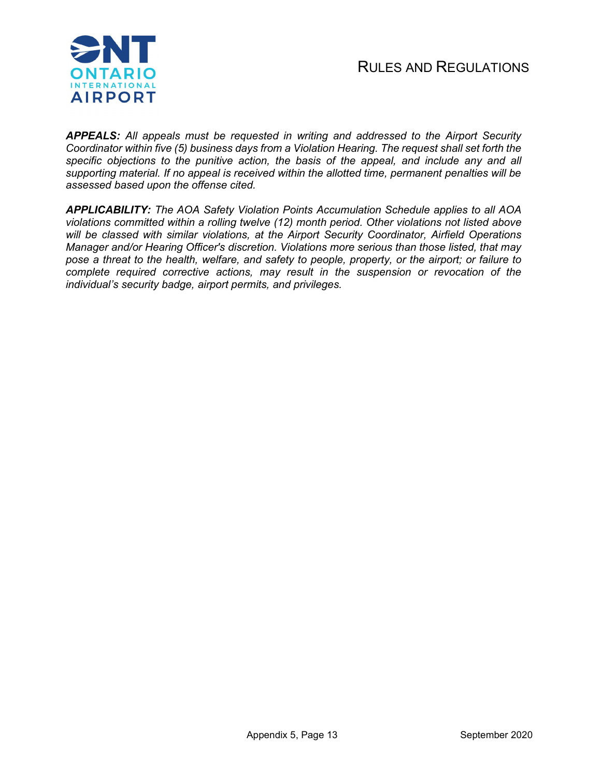

APPEALS: All appeals must be requested in writing and addressed to the Airport Security Coordinator within five (5) business days from a Violation Hearing. The request shall set forth the specific objections to the punitive action, the basis of the appeal, and include any and all supporting material. If no appeal is received within the allotted time, permanent penalties will be assessed based upon the offense cited.

APPLICABILITY: The AOA Safety Violation Points Accumulation Schedule applies to all AOA violations committed within a rolling twelve (12) month period. Other violations not listed above will be classed with similar violations, at the Airport Security Coordinator, Airfield Operations Manager and/or Hearing Officer's discretion. Violations more serious than those listed, that may pose a threat to the health, welfare, and safety to people, property, or the airport; or failure to complete required corrective actions, may result in the suspension or revocation of the individual's security badge, airport permits, and privileges.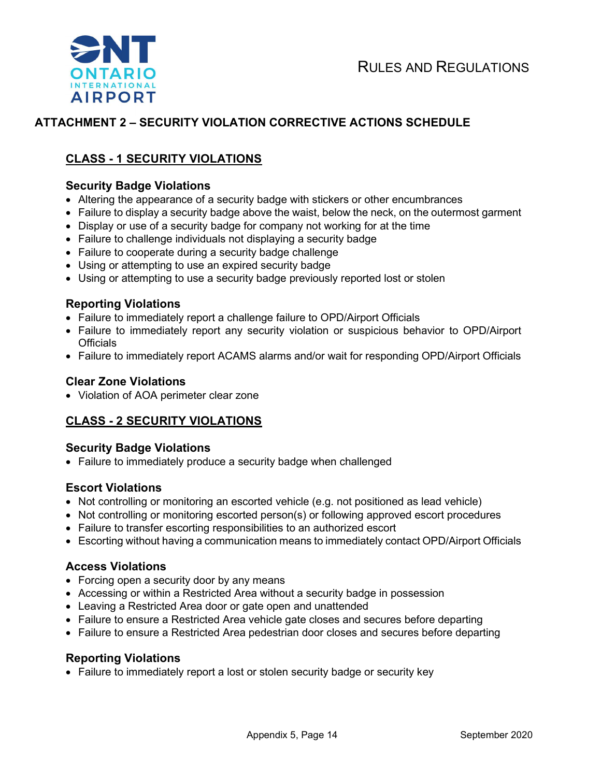

# ATTACHMENT 2 – SECURITY VIOLATION CORRECTIVE ACTIONS SCHEDULE

# CLASS - 1 SECURITY VIOLATIONS

#### Security Badge Violations

- Altering the appearance of a security badge with stickers or other encumbrances
- Failure to display a security badge above the waist, below the neck, on the outermost garment
- Display or use of a security badge for company not working for at the time
- Failure to challenge individuals not displaying a security badge
- Failure to cooperate during a security badge challenge
- Using or attempting to use an expired security badge
- Using or attempting to use a security badge previously reported lost or stolen

#### Reporting Violations

- Failure to immediately report a challenge failure to OPD/Airport Officials
- Failure to immediately report any security violation or suspicious behavior to OPD/Airport **Officials**
- Failure to immediately report ACAMS alarms and/or wait for responding OPD/Airport Officials

#### Clear Zone Violations

Violation of AOA perimeter clear zone

# CLASS - 2 SECURITY VIOLATIONS

#### Security Badge Violations

Failure to immediately produce a security badge when challenged

#### Escort Violations

- Not controlling or monitoring an escorted vehicle (e.g. not positioned as lead vehicle)
- Not controlling or monitoring escorted person(s) or following approved escort procedures
- Failure to transfer escorting responsibilities to an authorized escort
- Escorting without having a communication means to immediately contact OPD/Airport Officials

#### Access Violations

- Forcing open a security door by any means
- Accessing or within a Restricted Area without a security badge in possession
- Leaving a Restricted Area door or gate open and unattended
- Failure to ensure a Restricted Area vehicle gate closes and secures before departing
- Failure to ensure a Restricted Area pedestrian door closes and secures before departing

#### Reporting Violations

• Failure to immediately report a lost or stolen security badge or security key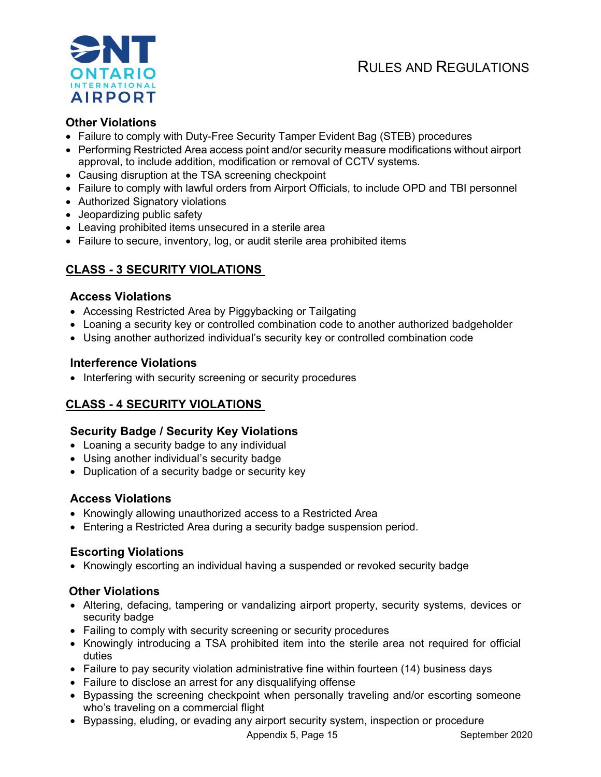

# Other Violations

- Failure to comply with Duty-Free Security Tamper Evident Bag (STEB) procedures
- Performing Restricted Area access point and/or security measure modifications without airport approval, to include addition, modification or removal of CCTV systems.
- Causing disruption at the TSA screening checkpoint
- Failure to comply with lawful orders from Airport Officials, to include OPD and TBI personnel
- Authorized Signatory violations
- Jeopardizing public safety
- Leaving prohibited items unsecured in a sterile area
- Failure to secure, inventory, log, or audit sterile area prohibited items

# CLASS - 3 SECURITY VIOLATIONS

# Access Violations

- Accessing Restricted Area by Piggybacking or Tailgating
- Loaning a security key or controlled combination code to another authorized badgeholder
- Using another authorized individual's security key or controlled combination code

# Interference Violations

• Interfering with security screening or security procedures

# CLASS - 4 SECURITY VIOLATIONS

# Security Badge / Security Key Violations

- Loaning a security badge to any individual
- Using another individual's security badge
- Duplication of a security badge or security key

# Access Violations

- Knowingly allowing unauthorized access to a Restricted Area
- Entering a Restricted Area during a security badge suspension period.

# Escorting Violations

Knowingly escorting an individual having a suspended or revoked security badge

# Other Violations

- Altering, defacing, tampering or vandalizing airport property, security systems, devices or security badge
- Failing to comply with security screening or security procedures
- Knowingly introducing a TSA prohibited item into the sterile area not required for official duties
- Failure to pay security violation administrative fine within fourteen (14) business days
- Failure to disclose an arrest for any disqualifying offense
- Bypassing the screening checkpoint when personally traveling and/or escorting someone who's traveling on a commercial flight
- Bypassing, eluding, or evading any airport security system, inspection or procedure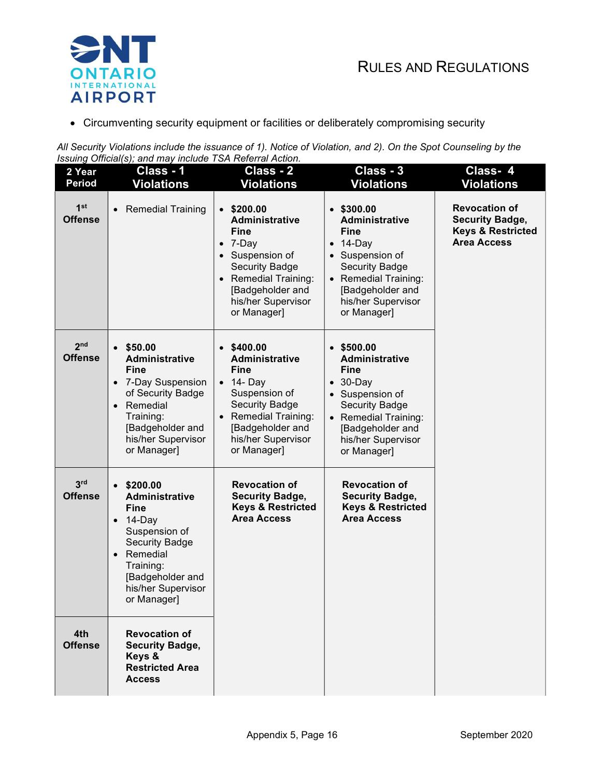

Circumventing security equipment or facilities or deliberately compromising security

All Security Violations include the issuance of 1). Notice of Violation, and 2). On the Spot Counseling by the Issuing Official(s); and may include TSA Referral Action.

| 2 Year<br><b>Period</b>           | Class - 1<br><b>Violations</b>                                                                                                                                                                            | Class - 2<br><b>Violations</b>                                                                                                                                                                                    | Class - 3<br><b>Violations</b>                                                                                                                                                               | Class-4<br><b>Violations</b>                                                                         |
|-----------------------------------|-----------------------------------------------------------------------------------------------------------------------------------------------------------------------------------------------------------|-------------------------------------------------------------------------------------------------------------------------------------------------------------------------------------------------------------------|----------------------------------------------------------------------------------------------------------------------------------------------------------------------------------------------|------------------------------------------------------------------------------------------------------|
| 1 <sup>st</sup><br><b>Offense</b> | <b>Remedial Training</b><br>$\bullet$                                                                                                                                                                     | \$200.00<br>$\bullet$<br>Administrative<br><b>Fine</b><br>7-Day<br>$\bullet$<br>Suspension of<br><b>Security Badge</b><br><b>Remedial Training:</b><br>[Badgeholder and<br>his/her Supervisor<br>or Manager]      | $•$ \$300.00<br>Administrative<br><b>Fine</b><br>$\bullet$ 14-Day<br>Suspension of<br><b>Security Badge</b><br>• Remedial Training:<br>[Badgeholder and<br>his/her Supervisor<br>or Manager] | <b>Revocation of</b><br><b>Security Badge,</b><br><b>Keys &amp; Restricted</b><br><b>Area Access</b> |
| 2 <sub>nd</sub><br><b>Offense</b> | \$50.00<br>Administrative<br>Fine<br>7-Day Suspension<br>$\bullet$<br>of Security Badge<br>Remedial<br>$\bullet$<br>Training:<br>[Badgeholder and<br>his/her Supervisor<br>or Manager]                    | \$400.00<br>$\bullet$<br>Administrative<br>Fine<br>$\bullet$ 14- Day<br>Suspension of<br><b>Security Badge</b><br><b>Remedial Training:</b><br>$\bullet$<br>[Badgeholder and<br>his/her Supervisor<br>or Manager] | \$500.00<br>Administrative<br><b>Fine</b><br>$\bullet$ 30-Day<br>Suspension of<br><b>Security Badge</b><br>• Remedial Training:<br>[Badgeholder and<br>his/her Supervisor<br>or Manager]     |                                                                                                      |
| 3 <sup>rd</sup><br><b>Offense</b> | \$200.00<br>Administrative<br><b>Fine</b><br>14-Day<br>$\bullet$<br>Suspension of<br><b>Security Badge</b><br>Remedial<br>$\bullet$<br>Training:<br>[Badgeholder and<br>his/her Supervisor<br>or Manager] | <b>Revocation of</b><br><b>Security Badge,</b><br><b>Keys &amp; Restricted</b><br><b>Area Access</b>                                                                                                              | <b>Revocation of</b><br><b>Security Badge,</b><br><b>Keys &amp; Restricted</b><br><b>Area Access</b>                                                                                         |                                                                                                      |
| 4th<br><b>Offense</b>             | <b>Revocation of</b><br><b>Security Badge,</b><br>Keys &<br><b>Restricted Area</b><br><b>Access</b>                                                                                                       |                                                                                                                                                                                                                   |                                                                                                                                                                                              |                                                                                                      |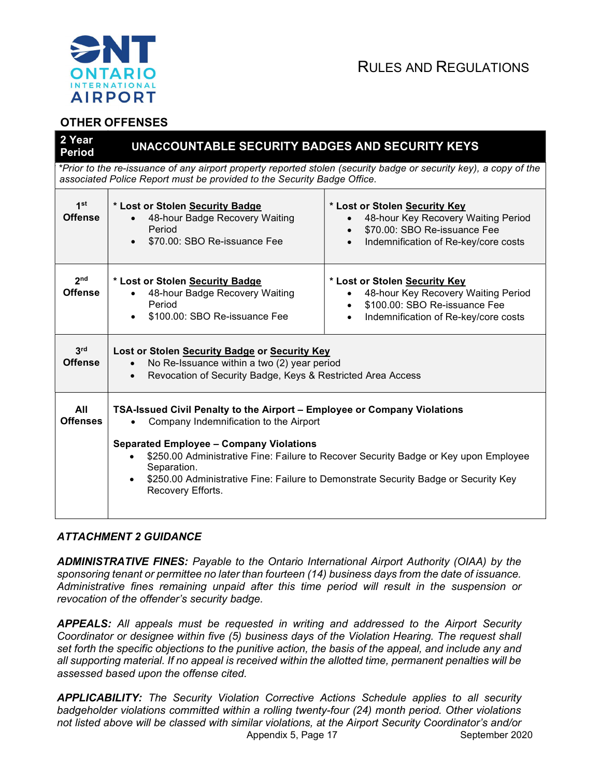

# OTHER OFFENSES

| 2 Year<br><b>Period</b>                                                                                                                                                                      | UNACCOUNTABLE SECURITY BADGES AND SECURITY KEYS                                                                                                                                                                                                                                                                                                                                         |                                                                                                                                                           |  |
|----------------------------------------------------------------------------------------------------------------------------------------------------------------------------------------------|-----------------------------------------------------------------------------------------------------------------------------------------------------------------------------------------------------------------------------------------------------------------------------------------------------------------------------------------------------------------------------------------|-----------------------------------------------------------------------------------------------------------------------------------------------------------|--|
| *Prior to the re-issuance of any airport property reported stolen (security badge or security key), a copy of the<br>associated Police Report must be provided to the Security Badge Office. |                                                                                                                                                                                                                                                                                                                                                                                         |                                                                                                                                                           |  |
| 1 <sup>st</sup><br><b>Offense</b>                                                                                                                                                            | * Lost or Stolen Security Badge<br>48-hour Badge Recovery Waiting<br>Period<br>\$70.00: SBO Re-issuance Fee                                                                                                                                                                                                                                                                             | * Lost or Stolen Security Key<br>48-hour Key Recovery Waiting Period<br>\$70.00: SBO Re-issuance Fee<br>Indemnification of Re-key/core costs<br>$\bullet$ |  |
| 2 <sub>nd</sub><br><b>Offense</b>                                                                                                                                                            | * Lost or Stolen Security Badge<br>48-hour Badge Recovery Waiting<br>Period<br>\$100.00: SBO Re-issuance Fee                                                                                                                                                                                                                                                                            | * Lost or Stolen Security Key<br>48-hour Key Recovery Waiting Period<br>\$100.00: SBO Re-issuance Fee<br>Indemnification of Re-key/core costs             |  |
| 3 <sup>rd</sup><br><b>Offense</b>                                                                                                                                                            | Lost or Stolen Security Badge or Security Key<br>No Re-Issuance within a two (2) year period<br>Revocation of Security Badge, Keys & Restricted Area Access<br>$\bullet$                                                                                                                                                                                                                |                                                                                                                                                           |  |
| All<br><b>Offenses</b>                                                                                                                                                                       | TSA-Issued Civil Penalty to the Airport - Employee or Company Violations<br>Company Indemnification to the Airport<br><b>Separated Employee - Company Violations</b><br>\$250.00 Administrative Fine: Failure to Recover Security Badge or Key upon Employee<br>Separation.<br>\$250.00 Administrative Fine: Failure to Demonstrate Security Badge or Security Key<br>Recovery Efforts. |                                                                                                                                                           |  |

# ATTACHMENT 2 GUIDANCE

ADMINISTRATIVE FINES: Payable to the Ontario International Airport Authority (OIAA) by the sponsoring tenant or permittee no later than fourteen (14) business days from the date of issuance. Administrative fines remaining unpaid after this time period will result in the suspension or revocation of the offender's security badge.

APPEALS: All appeals must be requested in writing and addressed to the Airport Security Coordinator or designee within five (5) business days of the Violation Hearing. The request shall set forth the specific objections to the punitive action, the basis of the appeal, and include any and all supporting material. If no appeal is received within the allotted time, permanent penalties will be assessed based upon the offense cited.

Appendix 5, Page 17 September 2020 APPLICABILITY: The Security Violation Corrective Actions Schedule applies to all security badgeholder violations committed within a rolling twenty-four (24) month period. Other violations not listed above will be classed with similar violations, at the Airport Security Coordinator's and/or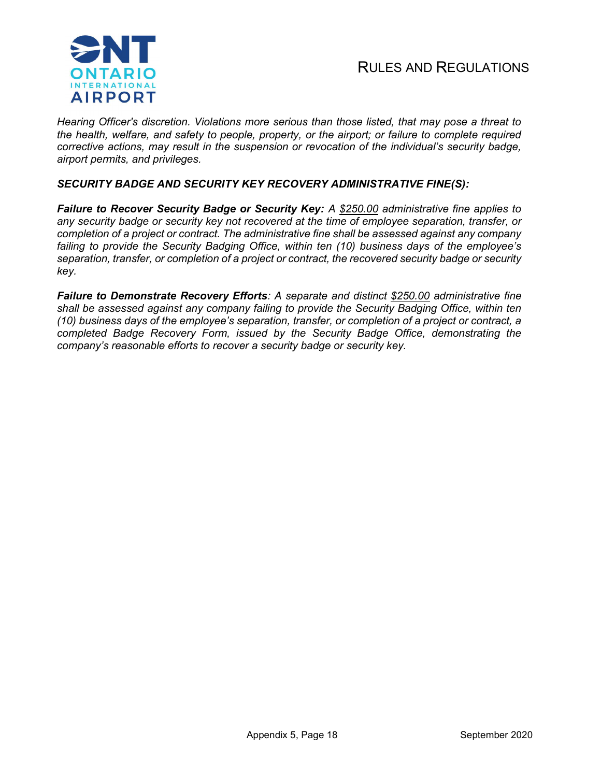

Hearing Officer's discretion. Violations more serious than those listed, that may pose a threat to the health, welfare, and safety to people, property, or the airport; or failure to complete required corrective actions, may result in the suspension or revocation of the individual's security badge, airport permits, and privileges.

#### SECURITY BADGE AND SECURITY KEY RECOVERY ADMINISTRATIVE FINE(S):

Failure to Recover Security Badge or Security Key: A \$250.00 administrative fine applies to any security badge or security key not recovered at the time of employee separation, transfer, or completion of a project or contract. The administrative fine shall be assessed against any company failing to provide the Security Badging Office, within ten (10) business days of the employee's separation, transfer, or completion of a project or contract, the recovered security badge or security key.

Failure to Demonstrate Recovery Efforts: A separate and distinct \$250.00 administrative fine shall be assessed against any company failing to provide the Security Badging Office, within ten (10) business days of the employee's separation, transfer, or completion of a project or contract, a completed Badge Recovery Form, issued by the Security Badge Office, demonstrating the company's reasonable efforts to recover a security badge or security key.